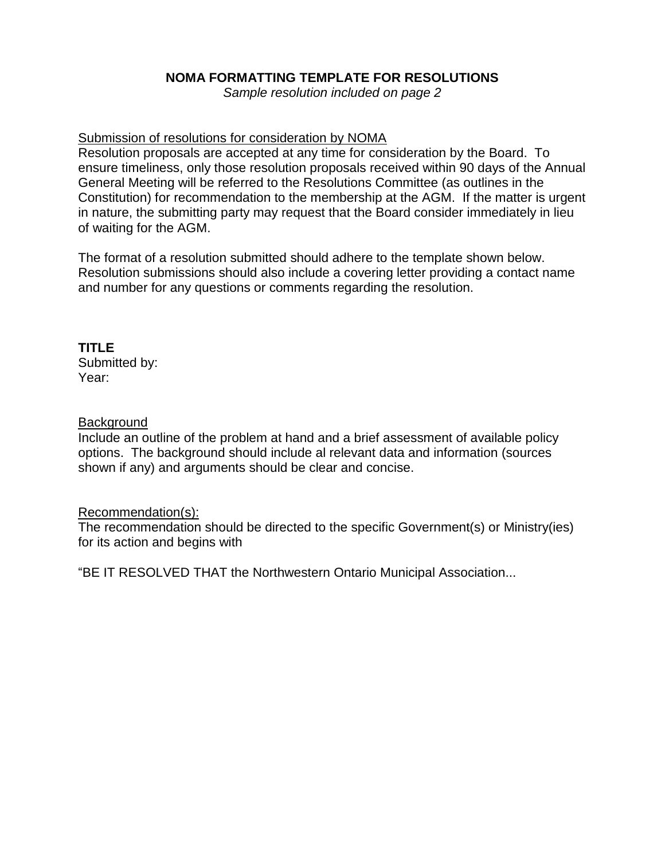# **NOMA FORMATTING TEMPLATE FOR RESOLUTIONS**

*Sample resolution included on page 2*

### Submission of resolutions for consideration by NOMA

Resolution proposals are accepted at any time for consideration by the Board. To ensure timeliness, only those resolution proposals received within 90 days of the Annual General Meeting will be referred to the Resolutions Committee (as outlines in the Constitution) for recommendation to the membership at the AGM. If the matter is urgent in nature, the submitting party may request that the Board consider immediately in lieu of waiting for the AGM.

The format of a resolution submitted should adhere to the template shown below. Resolution submissions should also include a covering letter providing a contact name and number for any questions or comments regarding the resolution.

#### **TITLE** Submitted by:

Year:

### **Background**

Include an outline of the problem at hand and a brief assessment of available policy options. The background should include al relevant data and information (sources shown if any) and arguments should be clear and concise.

### Recommendation(s):

The recommendation should be directed to the specific Government(s) or Ministry(ies) for its action and begins with

"BE IT RESOLVED THAT the Northwestern Ontario Municipal Association...